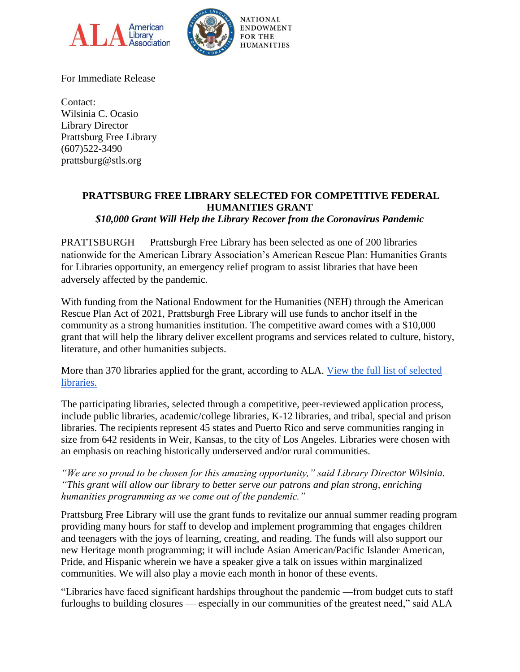



For Immediate Release

Contact: Wilsinia C. Ocasio Library Director Prattsburg Free Library (607)522-3490 prattsburg@stls.org

## **PRATTSBURG FREE LIBRARY SELECTED FOR COMPETITIVE FEDERAL HUMANITIES GRANT**

*\$10,000 Grant Will Help the Library Recover from the Coronavirus Pandemic*

PRATTSBURGH — Prattsburgh Free Library has been selected as one of 200 libraries nationwide for the American Library Association's American Rescue Plan: Humanities Grants for Libraries opportunity, an emergency relief program to assist libraries that have been adversely affected by the pandemic.

With funding from the National Endowment for the Humanities (NEH) through the American Rescue Plan Act of 2021, Prattsburgh Free Library will use funds to anchor itself in the community as a strong humanities institution. The competitive award comes with a \$10,000 grant that will help the library deliver excellent programs and services related to culture, history, literature, and other humanities subjects.

More than 370 libraries applied for the grant, according to ALA. [View the full list of selected](https://www.ala.org/tools/programming/ARPhumanities/sites)  [libraries.](https://www.ala.org/tools/programming/ARPhumanities/sites)

The participating libraries, selected through a competitive, peer-reviewed application process, include public libraries, academic/college libraries, K-12 libraries, and tribal, special and prison libraries. The recipients represent 45 states and Puerto Rico and serve communities ranging in size from 642 residents in Weir, Kansas, to the city of Los Angeles. Libraries were chosen with an emphasis on reaching historically underserved and/or rural communities.

*"We are so proud to be chosen for this amazing opportunity," said Library Director Wilsinia. "This grant will allow our library to better serve our patrons and plan strong, enriching humanities programming as we come out of the pandemic."*

Prattsburg Free Library will use the grant funds to revitalize our annual summer reading program providing many hours for staff to develop and implement programming that engages children and teenagers with the joys of learning, creating, and reading. The funds will also support our new Heritage month programming; it will include Asian American/Pacific Islander American, Pride, and Hispanic wherein we have a speaker give a talk on issues within marginalized communities. We will also play a movie each month in honor of these events.

"Libraries have faced significant hardships throughout the pandemic —from budget cuts to staff furloughs to building closures — especially in our communities of the greatest need," said ALA